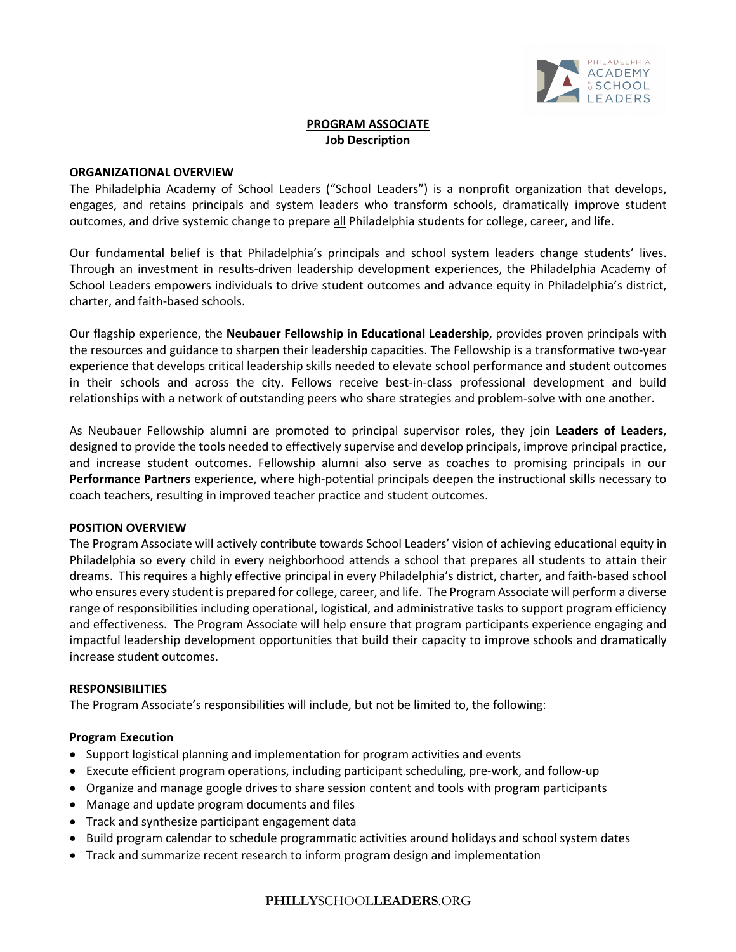

# **PROGRAM ASSOCIATE Job Description**

### **ORGANIZATIONAL OVERVIEW**

The Philadelphia Academy of School Leaders ("School Leaders") is a nonprofit organization that develops, engages, and retains principals and system leaders who transform schools, dramatically improve student outcomes, and drive systemic change to prepare all Philadelphia students for college, career, and life.

Our fundamental belief is that Philadelphia's principals and school system leaders change students' lives. Through an investment in results-driven leadership development experiences, the Philadelphia Academy of School Leaders empowers individuals to drive student outcomes and advance equity in Philadelphia's district, charter, and faith-based schools.

Our flagship experience, the **Neubauer Fellowship in Educational Leadership**, provides proven principals with the resources and guidance to sharpen their leadership capacities. The Fellowship is a transformative two-year experience that develops critical leadership skills needed to elevate school performance and student outcomes in their schools and across the city. Fellows receive best-in-class professional development and build relationships with a network of outstanding peers who share strategies and problem-solve with one another.

As Neubauer Fellowship alumni are promoted to principal supervisor roles, they join **Leaders of Leaders**, designed to provide the tools needed to effectively supervise and develop principals, improve principal practice, and increase student outcomes. Fellowship alumni also serve as coaches to promising principals in our **Performance Partners** experience, where high-potential principals deepen the instructional skills necessary to coach teachers, resulting in improved teacher practice and student outcomes.

### **POSITION OVERVIEW**

The Program Associate will actively contribute towards School Leaders' vision of achieving educational equity in Philadelphia so every child in every neighborhood attends a school that prepares all students to attain their dreams. This requires a highly effective principal in every Philadelphia's district, charter, and faith-based school who ensures every student is prepared for college, career, and life. The Program Associate will perform a diverse range of responsibilities including operational, logistical, and administrative tasks to support program efficiency and effectiveness. The Program Associate will help ensure that program participants experience engaging and impactful leadership development opportunities that build their capacity to improve schools and dramatically increase student outcomes.

# **RESPONSIBILITIES**

The Program Associate's responsibilities will include, but not be limited to, the following:

# **Program Execution**

- Support logistical planning and implementation for program activities and events
- Execute efficient program operations, including participant scheduling, pre-work, and follow-up
- Organize and manage google drives to share session content and tools with program participants
- Manage and update program documents and files
- Track and synthesize participant engagement data
- Build program calendar to schedule programmatic activities around holidays and school system dates
- Track and summarize recent research to inform program design and implementation

# **PHILLY**SCHOOL**LEADERS**.ORG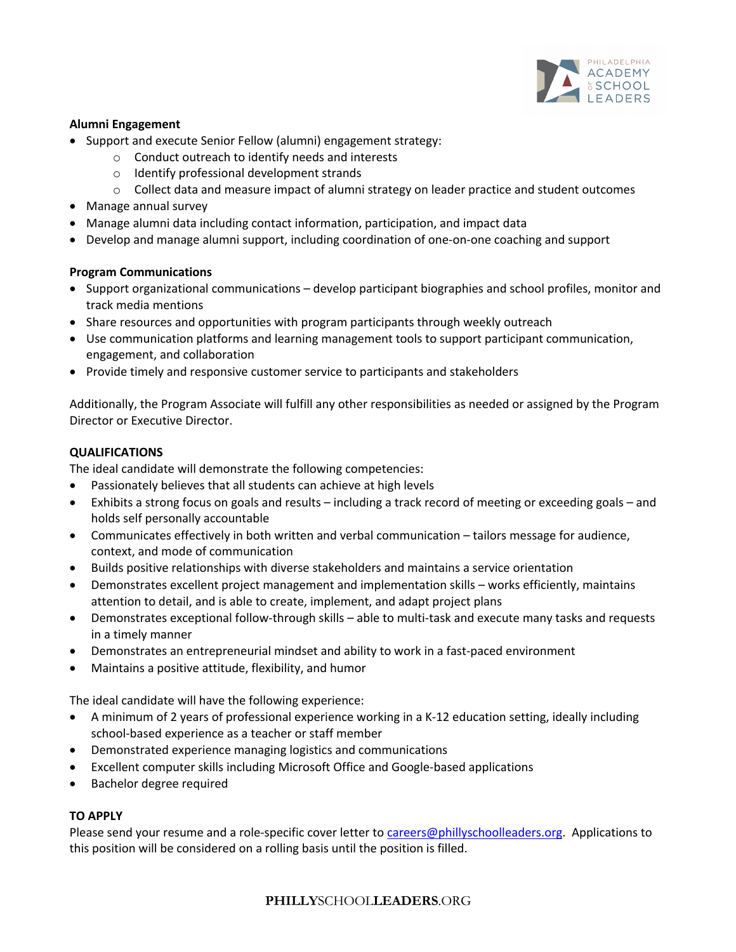

# **Alumni Engagement**

- Support and execute Senior Fellow (alumni) engagement strategy:
	- o Conduct outreach to identify needs and interests
	- o Identify professional development strands
	- $\circ$  Collect data and measure impact of alumni strategy on leader practice and student outcomes
- Manage annual survey
- Manage alumni data including contact information, participation, and impact data
- Develop and manage alumni support, including coordination of one-on-one coaching and support

# **Program Communications**

- Support organizational communications develop participant biographies and school profiles, monitor and track media mentions
- Share resources and opportunities with program participants through weekly outreach
- Use communication platforms and learning management tools to support participant communication, engagement, and collaboration
- Provide timely and responsive customer service to participants and stakeholders

Additionally, the Program Associate will fulfill any other responsibilities as needed or assigned by the Program Director or Executive Director.

# **QUALIFICATIONS**

The ideal candidate will demonstrate the following competencies:

- Passionately believes that all students can achieve at high levels
- Exhibits a strong focus on goals and results including a track record of meeting or exceeding goals and holds self personally accountable
- Communicates effectively in both written and verbal communication tailors message for audience, context, and mode of communication
- Builds positive relationships with diverse stakeholders and maintains a service orientation
- Demonstrates excellent project management and implementation skills works efficiently, maintains attention to detail, and is able to create, implement, and adapt project plans
- Demonstrates exceptional follow-through skills able to multi-task and execute many tasks and requests in a timely manner
- Demonstrates an entrepreneurial mindset and ability to work in a fast-paced environment
- Maintains a positive attitude, flexibility, and humor

The ideal candidate will have the following experience:

- A minimum of 2 years of professional experience working in a K-12 education setting, ideally including school-based experience as a teacher or staff member
- Demonstrated experience managing logistics and communications
- Excellent computer skills including Microsoft Office and Google-based applications
- Bachelor degree required

# **TO APPLY**

Please send your resume and a role-specific cover letter to careers@phillyschoolleaders.org. Applications to this position will be considered on a rolling basis until the position is filled.

# **PHILLY**SCHOOL**LEADERS**.ORG